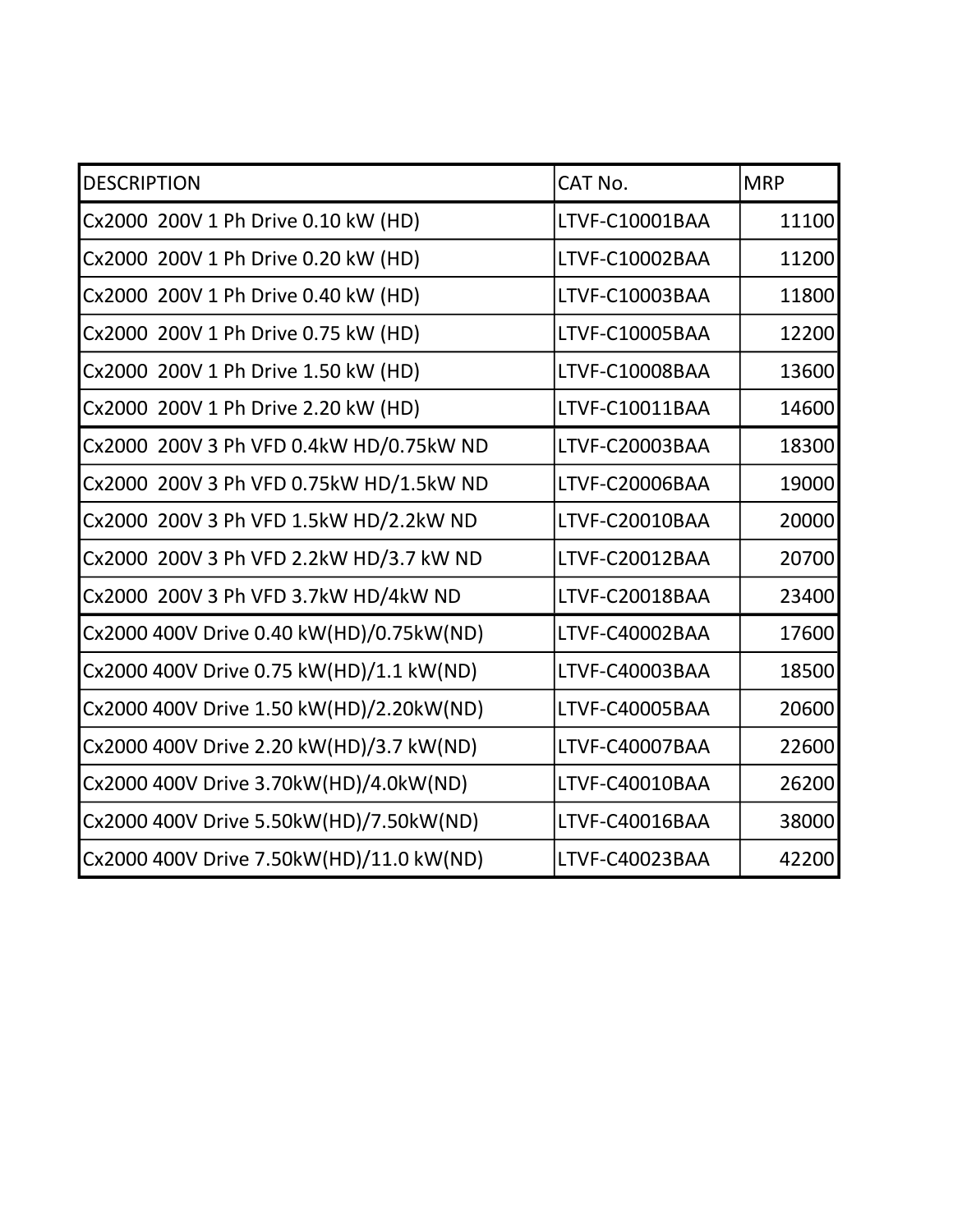| <b>DESCRIPTION</b>                       | CAT No.        | <b>MRP</b> |
|------------------------------------------|----------------|------------|
| Cx2000 200V 1 Ph Drive 0.10 kW (HD)      | LTVF-C10001BAA | 11100      |
| Cx2000 200V 1 Ph Drive 0.20 kW (HD)      | LTVF-C10002BAA | 11200      |
| Cx2000 200V 1 Ph Drive 0.40 kW (HD)      | LTVF-C10003BAA | 11800      |
| Cx2000 200V 1 Ph Drive 0.75 kW (HD)      | LTVF-C10005BAA | 12200      |
| Cx2000 200V 1 Ph Drive 1.50 kW (HD)      | LTVF-C10008BAA | 13600      |
| Cx2000 200V 1 Ph Drive 2.20 kW (HD)      | LTVF-C10011BAA | 14600      |
| Cx2000 200V 3 Ph VFD 0.4kW HD/0.75kW ND  | LTVF-C20003BAA | 18300      |
| Cx2000 200V 3 Ph VFD 0.75kW HD/1.5kW ND  | LTVF-C20006BAA | 19000      |
| Cx2000 200V 3 Ph VFD 1.5kW HD/2.2kW ND   | LTVF-C20010BAA | 20000      |
| Cx2000 200V 3 Ph VFD 2.2kW HD/3.7 kW ND  | LTVF-C20012BAA | 20700      |
| Cx2000 200V 3 Ph VFD 3.7kW HD/4kW ND     | LTVF-C20018BAA | 23400      |
| Cx2000 400V Drive 0.40 kW(HD)/0.75kW(ND) | LTVF-C40002BAA | 17600      |
| Cx2000 400V Drive 0.75 kW(HD)/1.1 kW(ND) | LTVF-C40003BAA | 18500      |
| Cx2000 400V Drive 1.50 kW(HD)/2.20kW(ND) | LTVF-C40005BAA | 20600      |
| Cx2000 400V Drive 2.20 kW(HD)/3.7 kW(ND) | LTVF-C40007BAA | 22600      |
| Cx2000 400V Drive 3.70kW(HD)/4.0kW(ND)   | LTVF-C40010BAA | 26200      |
| Cx2000 400V Drive 5.50kW(HD)/7.50kW(ND)  | LTVF-C40016BAA | 38000      |
| Cx2000 400V Drive 7.50kW(HD)/11.0 kW(ND) | LTVF-C40023BAA | 42200      |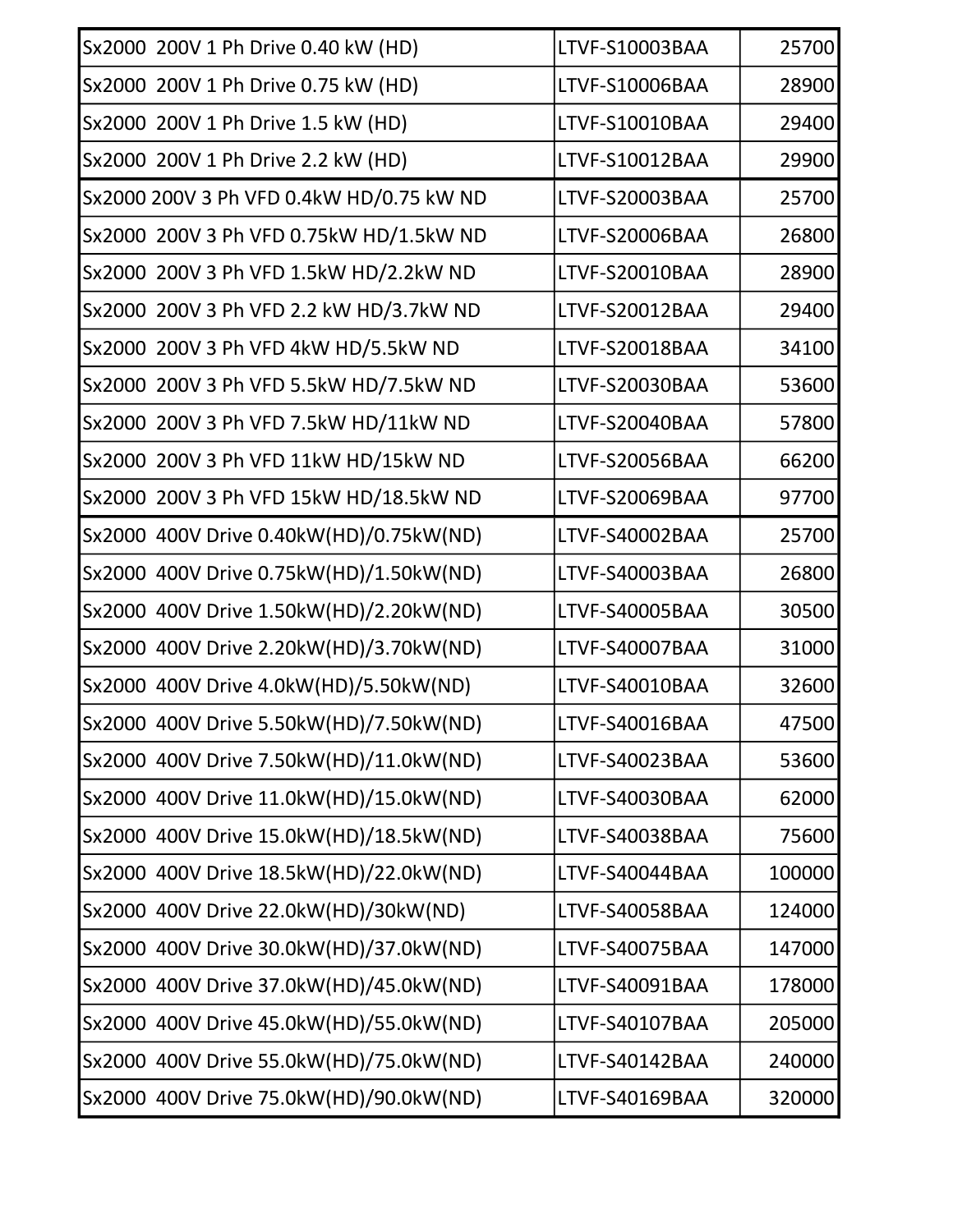| Sx2000 200V 1 Ph Drive 0.40 kW (HD)      | LTVF-S10003BAA        | 25700  |
|------------------------------------------|-----------------------|--------|
| Sx2000 200V 1 Ph Drive 0.75 kW (HD)      | <b>LTVF-S10006BAA</b> | 28900  |
| Sx2000 200V 1 Ph Drive 1.5 kW (HD)       | LTVF-S10010BAA        | 29400  |
| Sx2000 200V 1 Ph Drive 2.2 kW (HD)       | LTVF-S10012BAA        | 29900  |
| Sx2000 200V 3 Ph VFD 0.4kW HD/0.75 kW ND | LTVF-S20003BAA        | 25700  |
| Sx2000 200V 3 Ph VFD 0.75kW HD/1.5kW ND  | LTVF-S20006BAA        | 26800  |
| Sx2000 200V 3 Ph VFD 1.5kW HD/2.2kW ND   | LTVF-S20010BAA        | 28900  |
| Sx2000 200V 3 Ph VFD 2.2 kW HD/3.7kW ND  | LTVF-S20012BAA        | 29400  |
| Sx2000 200V 3 Ph VFD 4kW HD/5.5kW ND     | LTVF-S20018BAA        | 34100  |
| Sx2000 200V 3 Ph VFD 5.5kW HD/7.5kW ND   | LTVF-S20030BAA        | 53600  |
| Sx2000 200V 3 Ph VFD 7.5kW HD/11kW ND    | LTVF-S20040BAA        | 57800  |
| Sx2000 200V 3 Ph VFD 11kW HD/15kW ND     | <b>LTVF-S20056BAA</b> | 66200  |
| Sx2000 200V 3 Ph VFD 15kW HD/18.5kW ND   | LTVF-S20069BAA        | 97700  |
| Sx2000 400V Drive 0.40kW(HD)/0.75kW(ND)  | LTVF-S40002BAA        | 25700  |
| Sx2000 400V Drive 0.75kW(HD)/1.50kW(ND)  | LTVF-S40003BAA        | 26800  |
| Sx2000 400V Drive 1.50kW(HD)/2.20kW(ND)  | LTVF-S40005BAA        | 30500  |
| Sx2000 400V Drive 2.20kW(HD)/3.70kW(ND)  | LTVF-S40007BAA        | 31000  |
| Sx2000 400V Drive 4.0kW(HD)/5.50kW(ND)   | LTVF-S40010BAA        | 32600  |
| Sx2000 400V Drive 5.50kW(HD)/7.50kW(ND)  | LTVF-S40016BAA        | 47500  |
| Sx2000 400V Drive 7.50kW(HD)/11.0kW(ND)  | LTVF-S40023BAA        | 53600  |
| Sx2000 400V Drive 11.0kW(HD)/15.0kW(ND)  | LTVF-S40030BAA        | 62000  |
| Sx2000 400V Drive 15.0kW(HD)/18.5kW(ND)  | LTVF-S40038BAA        | 75600  |
| Sx2000 400V Drive 18.5kW(HD)/22.0kW(ND)  | LTVF-S40044BAA        | 100000 |
| Sx2000 400V Drive 22.0kW(HD)/30kW(ND)    | LTVF-S40058BAA        | 124000 |
| Sx2000 400V Drive 30.0kW(HD)/37.0kW(ND)  | LTVF-S40075BAA        | 147000 |
| Sx2000 400V Drive 37.0kW(HD)/45.0kW(ND)  | LTVF-S40091BAA        | 178000 |
| Sx2000 400V Drive 45.0kW(HD)/55.0kW(ND)  | LTVF-S40107BAA        | 205000 |
| Sx2000 400V Drive 55.0kW(HD)/75.0kW(ND)  | LTVF-S40142BAA        | 240000 |
| Sx2000 400V Drive 75.0kW(HD)/90.0kW(ND)  | LTVF-S40169BAA        | 320000 |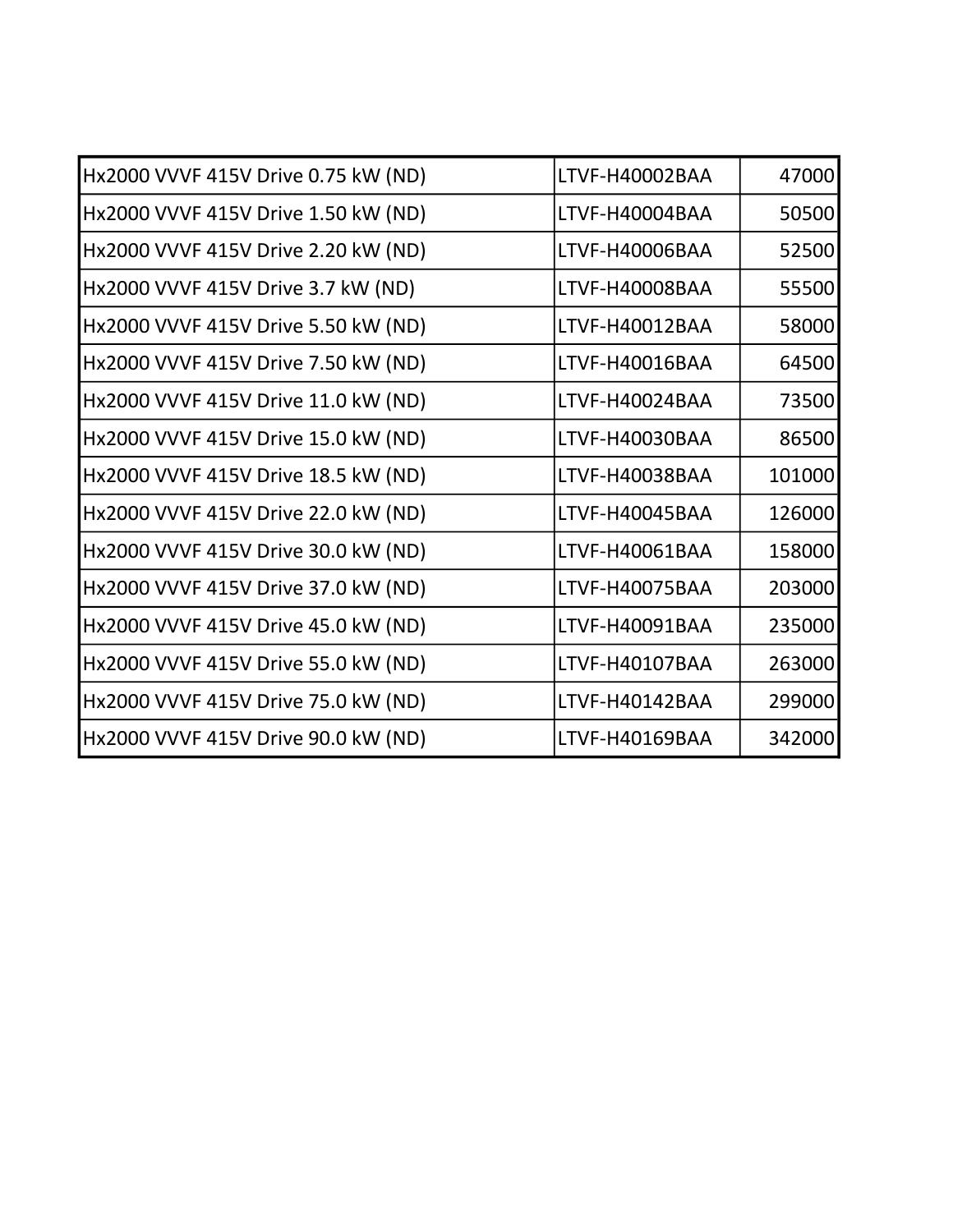| Hx2000 VVVF 415V Drive 0.75 kW (ND) | LTVF-H40002BAA | 47000  |
|-------------------------------------|----------------|--------|
| Hx2000 VVVF 415V Drive 1.50 kW (ND) | LTVF-H40004BAA | 50500  |
| Hx2000 VVVF 415V Drive 2.20 kW (ND) | LTVF-H40006BAA | 52500  |
| Hx2000 VVVF 415V Drive 3.7 kW (ND)  | LTVF-H40008BAA | 55500  |
| Hx2000 VVVF 415V Drive 5.50 kW (ND) | LTVF-H40012BAA | 58000  |
| Hx2000 VVVF 415V Drive 7.50 kW (ND) | LTVF-H40016BAA | 64500  |
| Hx2000 VVVF 415V Drive 11.0 kW (ND) | LTVF-H40024BAA | 73500  |
| Hx2000 VVVF 415V Drive 15.0 kW (ND) | LTVF-H40030BAA | 86500  |
| Hx2000 VVVF 415V Drive 18.5 kW (ND) | LTVF-H40038BAA | 101000 |
| Hx2000 VVVF 415V Drive 22.0 kW (ND) | LTVF-H40045BAA | 126000 |
| Hx2000 VVVF 415V Drive 30.0 kW (ND) | LTVF-H40061BAA | 158000 |
| Hx2000 VVVF 415V Drive 37.0 kW (ND) | LTVF-H40075BAA | 203000 |
| Hx2000 VVVF 415V Drive 45.0 kW (ND) | LTVF-H40091BAA | 235000 |
| Hx2000 VVVF 415V Drive 55.0 kW (ND) | LTVF-H40107BAA | 263000 |
| Hx2000 VVVF 415V Drive 75.0 kW (ND) | LTVF-H40142BAA | 299000 |
| Hx2000 VVVF 415V Drive 90.0 kW (ND) | LTVF-H40169BAA | 342000 |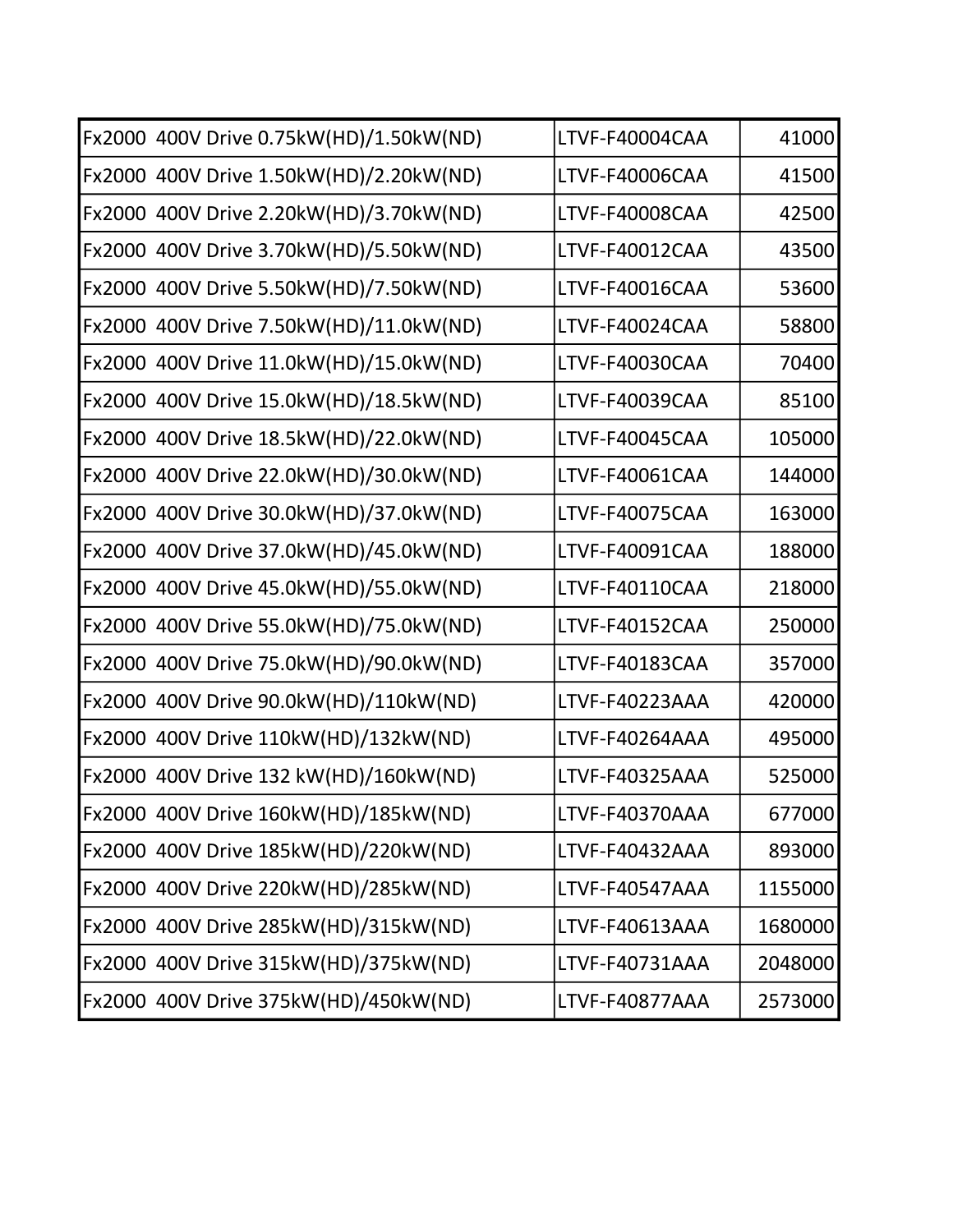| Fx2000 400V Drive 0.75kW(HD)/1.50kW(ND) | LTVF-F40004CAA | 41000   |
|-----------------------------------------|----------------|---------|
| Fx2000 400V Drive 1.50kW(HD)/2.20kW(ND) | LTVF-F40006CAA | 41500   |
| Fx2000 400V Drive 2.20kW(HD)/3.70kW(ND) | LTVF-F40008CAA | 42500   |
| Fx2000 400V Drive 3.70kW(HD)/5.50kW(ND) | LTVF-F40012CAA | 43500   |
| Fx2000 400V Drive 5.50kW(HD)/7.50kW(ND) | LTVF-F40016CAA | 53600   |
| Fx2000 400V Drive 7.50kW(HD)/11.0kW(ND) | LTVF-F40024CAA | 58800   |
| Fx2000 400V Drive 11.0kW(HD)/15.0kW(ND) | LTVF-F40030CAA | 70400   |
| Fx2000 400V Drive 15.0kW(HD)/18.5kW(ND) | LTVF-F40039CAA | 85100   |
| Fx2000 400V Drive 18.5kW(HD)/22.0kW(ND) | LTVF-F40045CAA | 105000  |
| Fx2000 400V Drive 22.0kW(HD)/30.0kW(ND) | LTVF-F40061CAA | 144000  |
| Fx2000 400V Drive 30.0kW(HD)/37.0kW(ND) | LTVF-F40075CAA | 163000  |
| Fx2000 400V Drive 37.0kW(HD)/45.0kW(ND) | LTVF-F40091CAA | 188000  |
| Fx2000 400V Drive 45.0kW(HD)/55.0kW(ND) | LTVF-F40110CAA | 218000  |
| Fx2000 400V Drive 55.0kW(HD)/75.0kW(ND) | LTVF-F40152CAA | 250000  |
| Fx2000 400V Drive 75.0kW(HD)/90.0kW(ND) | LTVF-F40183CAA | 357000  |
| Fx2000 400V Drive 90.0kW(HD)/110kW(ND)  | LTVF-F40223AAA | 420000  |
| Fx2000 400V Drive 110kW(HD)/132kW(ND)   | LTVF-F40264AAA | 495000  |
| Fx2000 400V Drive 132 kW(HD)/160kW(ND)  | LTVF-F40325AAA | 525000  |
| Fx2000 400V Drive 160kW(HD)/185kW(ND)   | LTVF-F40370AAA | 677000  |
| Fx2000 400V Drive 185kW(HD)/220kW(ND)   | LTVF-F40432AAA | 893000  |
| Fx2000 400V Drive 220kW(HD)/285kW(ND)   | LTVF-F40547AAA | 1155000 |
| Fx2000 400V Drive 285kW(HD)/315kW(ND)   | LTVF-F40613AAA | 1680000 |
| Fx2000 400V Drive 315kW(HD)/375kW(ND)   | LTVF-F40731AAA | 2048000 |
| Fx2000 400V Drive 375kW(HD)/450kW(ND)   | LTVF-F40877AAA | 2573000 |